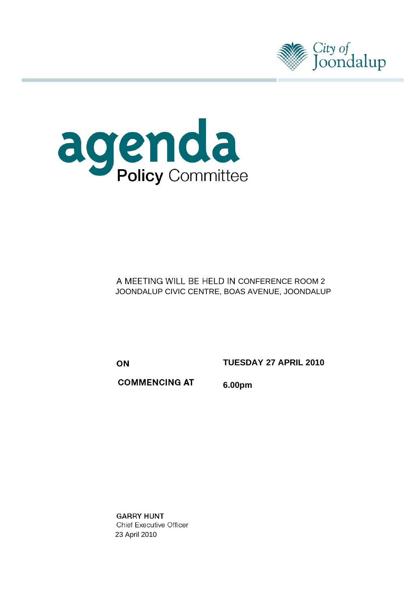



A MEETING WILL BE HELD IN CONFERENCE ROOM 2 JOONDALUP CIVIC CENTRE, BOAS AVENUE, JOONDALUP

ON

**TUESDAY 27 APRIL 2010** 

**COMMENCING AT** 6.00pm

**GARRY HUNT Chief Executive Officer** 23 April 2010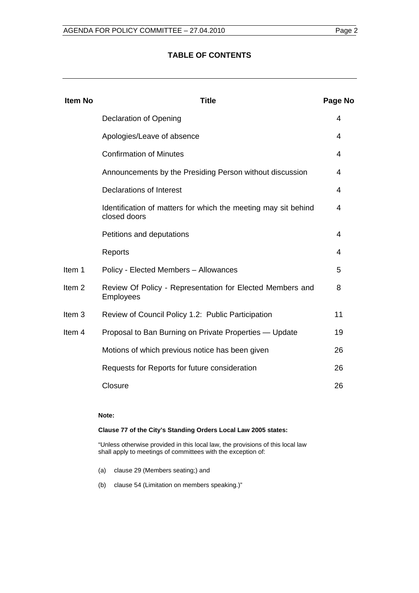## **TABLE OF CONTENTS**

| <b>Item No</b>    | <b>Title</b>                                                                   | Page No |
|-------------------|--------------------------------------------------------------------------------|---------|
|                   | <b>Declaration of Opening</b>                                                  | 4       |
|                   | Apologies/Leave of absence                                                     | 4       |
|                   | <b>Confirmation of Minutes</b>                                                 | 4       |
|                   | Announcements by the Presiding Person without discussion                       | 4       |
|                   | Declarations of Interest                                                       | 4       |
|                   | Identification of matters for which the meeting may sit behind<br>closed doors | 4       |
|                   | Petitions and deputations                                                      | 4       |
|                   | Reports                                                                        | 4       |
| Item 1            | Policy - Elected Members - Allowances                                          | 5       |
| Item <sub>2</sub> | Review Of Policy - Representation for Elected Members and<br>Employees         | 8       |
| Item <sub>3</sub> | Review of Council Policy 1.2: Public Participation                             | 11      |
| Item 4            | Proposal to Ban Burning on Private Properties — Update                         | 19      |
|                   | Motions of which previous notice has been given                                | 26      |
|                   | Requests for Reports for future consideration                                  | 26      |
|                   | Closure                                                                        | 26      |

#### **Note:**

#### **Clause 77 of the City's Standing Orders Local Law 2005 states:**

"Unless otherwise provided in this local law, the provisions of this local law shall apply to meetings of committees with the exception of:

- (a) clause 29 (Members seating;) and
- (b) clause 54 (Limitation on members speaking.)"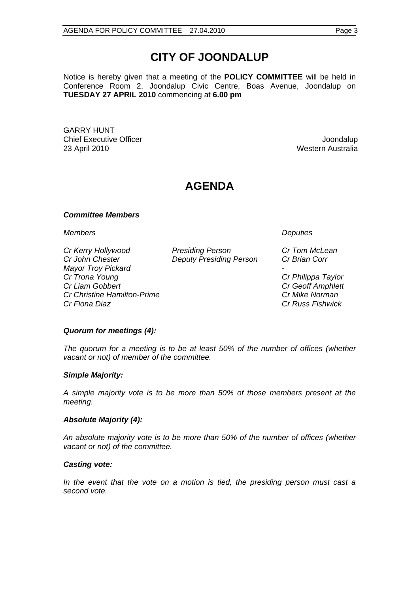# **CITY OF JOONDALUP**

Notice is hereby given that a meeting of the **POLICY COMMITTEE** will be held in Conference Room 2, Joondalup Civic Centre, Boas Avenue, Joondalup on **TUESDAY 27 APRIL 2010** commencing at **6.00 pm** 

GARRY HUNT **Chief Executive Officer Joseph According to the Chief Executive Officer Joseph According to the Chief According to the United States of the Chief According to the United States of the United States of the United States of** 23 April 2010 Western Australia

## **AGENDA**

#### *Committee Members*

*Members Deputies* 

*Cr Kerry Hollywood Presiding Person Cr Tom McLean Cr John Chester Deputy Presiding Person Cr Brian Corr Mayor Troy Pickard - Cr Trona Young Cr Philippa Taylor Cr Liam Gobbert Cr Geoff Amphlett Cr Christine Hamilton-Prime Cr Mike Norman Cr Fiona Diaz Cr Russ Fishwick* 

#### *Quorum for meetings (4):*

*The quorum for a meeting is to be at least 50% of the number of offices (whether vacant or not) of member of the committee.* 

#### *Simple Majority:*

*A simple majority vote is to be more than 50% of those members present at the meeting.* 

#### *Absolute Majority (4):*

*An absolute majority vote is to be more than 50% of the number of offices (whether vacant or not) of the committee.* 

#### *Casting vote:*

*In the event that the vote on a motion is tied, the presiding person must cast a second vote.*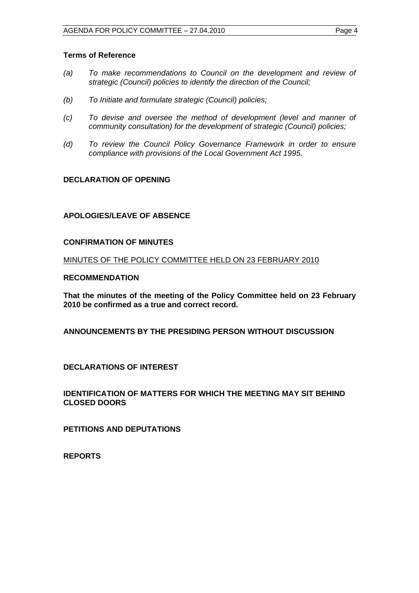#### <span id="page-3-0"></span>**Terms of Reference**

- *(a) To make recommendations to Council on the development and review of strategic (Council) policies to identify the direction of the Council;*
- *(b) To Initiate and formulate strategic (Council) policies;*
- *(c) To devise and oversee the method of development (level and manner of community consultation) for the development of strategic (Council) policies;*
- *(d) To review the Council Policy Governance Framework in order to ensure compliance with provisions of the Local Government Act 1995.*

## **DECLARATION OF OPENING**

## **APOLOGIES/LEAVE OF ABSENCE**

#### **CONFIRMATION OF MINUTES**

MINUTES OF THE POLICY COMMITTEE HELD ON 23 FEBRUARY 2010

#### **RECOMMENDATION**

**That the minutes of the meeting of the Policy Committee held on 23 February 2010 be confirmed as a true and correct record.** 

**ANNOUNCEMENTS BY THE PRESIDING PERSON WITHOUT DISCUSSION** 

**DECLARATIONS OF INTEREST** 

**IDENTIFICATION OF MATTERS FOR WHICH THE MEETING MAY SIT BEHIND CLOSED DOORS** 

**PETITIONS AND DEPUTATIONS** 

**REPORTS**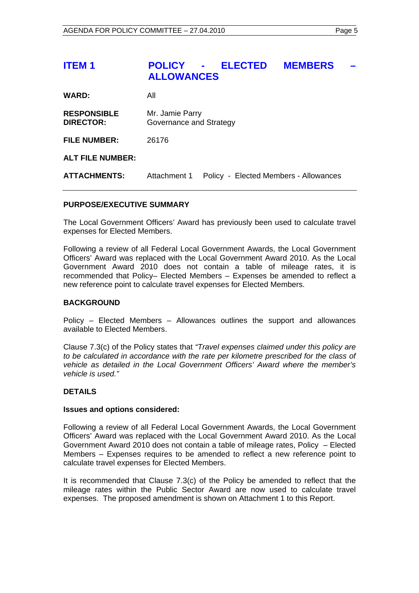## <span id="page-4-0"></span>**ITEM 1 POLICY - ELECTED MEMBERS ALLOWANCES**

| WARD:                                  | All                                        |
|----------------------------------------|--------------------------------------------|
| <b>RESPONSIBLE</b><br><b>DIRECTOR:</b> | Mr. Jamie Parry<br>Governance and Strategy |
| <b>FILE NUMBER:</b>                    | 26176                                      |

## **ALT FILE NUMBER:**

**ATTACHMENTS:** Attachment 1 Policy - Elected Members - Allowances

#### **PURPOSE/EXECUTIVE SUMMARY**

The Local Government Officers' Award has previously been used to calculate travel expenses for Elected Members.

Following a review of all Federal Local Government Awards, the Local Government Officers' Award was replaced with the Local Government Award 2010. As the Local Government Award 2010 does not contain a table of mileage rates, it is recommended that Policy– Elected Members – Expenses be amended to reflect a new reference point to calculate travel expenses for Elected Members.

#### **BACKGROUND**

Policy – Elected Members – Allowances outlines the support and allowances available to Elected Members.

Clause 7.3(c) of the Policy states that *"Travel expenses claimed under this policy are to be calculated in accordance with the rate per kilometre prescribed for the class of vehicle as detailed in the Local Government Officers' Award where the member's vehicle is used."* 

#### **DETAILS**

#### **Issues and options considered:**

Following a review of all Federal Local Government Awards, the Local Government Officers' Award was replaced with the Local Government Award 2010. As the Local Government Award 2010 does not contain a table of mileage rates, Policy – Elected Members – Expenses requires to be amended to reflect a new reference point to calculate travel expenses for Elected Members.

It is recommended that Clause 7.3(c) of the Policy be amended to reflect that the mileage rates within the Public Sector Award are now used to calculate travel expenses. The proposed amendment is shown on Attachment 1 to this Report.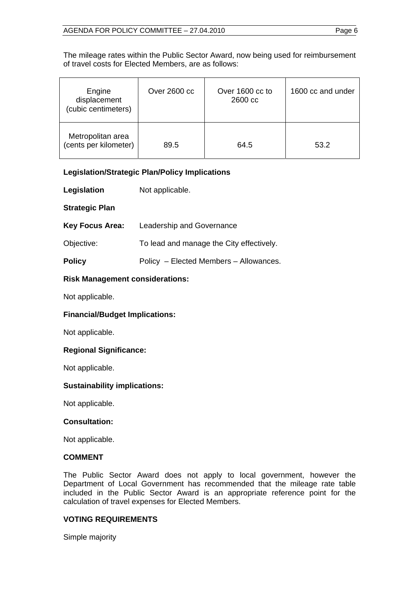The mileage rates within the Public Sector Award, now being used for reimbursement of travel costs for Elected Members, are as follows:

| Engine<br>displacement<br>(cubic centimeters) | Over 2600 cc | Over 1600 cc to<br>2600 cc | 1600 cc and under |
|-----------------------------------------------|--------------|----------------------------|-------------------|
| Metropolitan area<br>(cents per kilometer)    | 89.5         | 64.5                       | 53.2              |

## **Legislation/Strategic Plan/Policy Implications**

**Legislation** Not applicable.

## **Strategic Plan**

| <b>Key Focus Area:</b> | Leadership and Governance |
|------------------------|---------------------------|
|------------------------|---------------------------|

Objective: To lead and manage the City effectively.

**Policy Policy – Elected Members – Allowances.** 

## **Risk Management considerations:**

Not applicable.

## **Financial/Budget Implications:**

Not applicable.

## **Regional Significance:**

Not applicable.

## **Sustainability implications:**

Not applicable.

#### **Consultation:**

Not applicable.

## **COMMENT**

The Public Sector Award does not apply to local government, however the Department of Local Government has recommended that the mileage rate table included in the Public Sector Award is an appropriate reference point for the calculation of travel expenses for Elected Members.

## **VOTING REQUIREMENTS**

Simple majority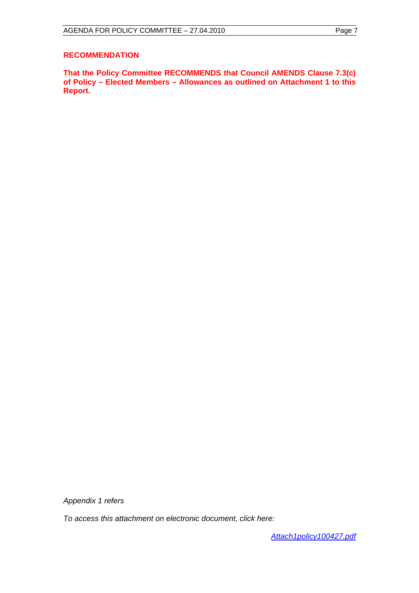#### **RECOMMENDATION**

**That the Policy Committee RECOMMENDS that Council AMENDS Clause 7.3(c) of Policy – Elected Members – Allowances as outlined on Attachment 1 to this Report.** 

*Appendix 1 refers* 

*To access this attachment on electronic document, click here:* 

*<Attach1policy100427.pdf>*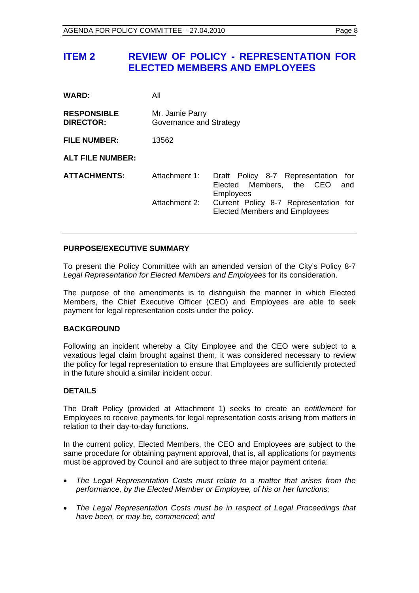## <span id="page-7-0"></span>**ITEM 2 REVIEW OF POLICY - REPRESENTATION FOR ELECTED MEMBERS AND EMPLOYEES**

| <b>WARD:</b>                           | All                                        |                                                                                               |  |
|----------------------------------------|--------------------------------------------|-----------------------------------------------------------------------------------------------|--|
| <b>RESPONSIBLE</b><br><b>DIRECTOR:</b> | Mr. Jamie Parry<br>Governance and Strategy |                                                                                               |  |
| <b>FILE NUMBER:</b>                    | 13562                                      |                                                                                               |  |
| <b>ALT FILE NUMBER:</b>                |                                            |                                                                                               |  |
| <b>ATTACHMENTS:</b>                    | Attachment 1:                              | Draft Policy 8-7 Representation<br>for<br>Elected Members, the CEO<br>and<br><b>Employees</b> |  |
|                                        | Attachment 2:                              | Current Policy 8-7 Representation for<br><b>Elected Members and Employees</b>                 |  |

## **PURPOSE/EXECUTIVE SUMMARY**

To present the Policy Committee with an amended version of the City's Policy 8-7 *Legal Representation for Elected Members and Employees* for its consideration.

The purpose of the amendments is to distinguish the manner in which Elected Members, the Chief Executive Officer (CEO) and Employees are able to seek payment for legal representation costs under the policy.

#### **BACKGROUND**

Following an incident whereby a City Employee and the CEO were subject to a vexatious legal claim brought against them, it was considered necessary to review the policy for legal representation to ensure that Employees are sufficiently protected in the future should a similar incident occur.

## **DETAILS**

The Draft Policy (provided at Attachment 1) seeks to create an *entitlement* for Employees to receive payments for legal representation costs arising from matters in relation to their day-to-day functions.

In the current policy, Elected Members, the CEO and Employees are subject to the same procedure for obtaining payment approval, that is, all applications for payments must be approved by Council and are subject to three major payment criteria:

- *The Legal Representation Costs must relate to a matter that arises from the performance, by the Elected Member or Employee, of his or her functions;*
- *The Legal Representation Costs must be in respect of Legal Proceedings that have been, or may be, commenced; and*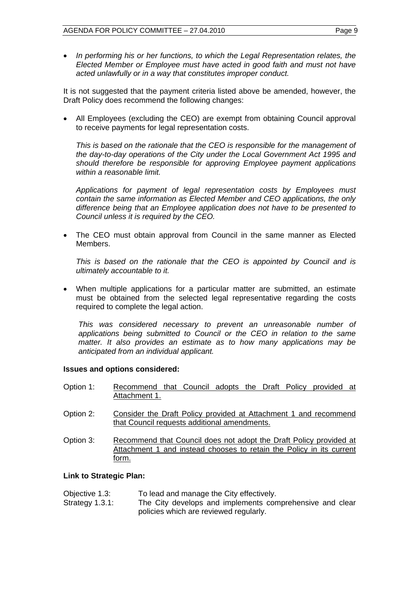*In performing his or her functions, to which the Legal Representation relates, the Elected Member or Employee must have acted in good faith and must not have acted unlawfully or in a way that constitutes improper conduct.* 

It is not suggested that the payment criteria listed above be amended, however, the Draft Policy does recommend the following changes:

 All Employees (excluding the CEO) are exempt from obtaining Council approval to receive payments for legal representation costs.

*This is based on the rationale that the CEO is responsible for the management of the day-to-day operations of the City under the Local Government Act 1995 and should therefore be responsible for approving Employee payment applications within a reasonable limit.* 

*Applications for payment of legal representation costs by Employees must contain the same information as Elected Member and CEO applications, the only difference being that an Employee application does not have to be presented to Council unless it is required by the CEO.* 

 The CEO must obtain approval from Council in the same manner as Elected Members.

*This is based on the rationale that the CEO is appointed by Council and is ultimately accountable to it.* 

 When multiple applications for a particular matter are submitted, an estimate must be obtained from the selected legal representative regarding the costs required to complete the legal action.

*This was considered necessary to prevent an unreasonable number of applications being submitted to Council or the CEO in relation to the same matter. It also provides an estimate as to how many applications may be anticipated from an individual applicant.* 

#### **Issues and options considered:**

- Option 1: Recommend that Council adopts the Draft Policy provided at Attachment 1.
- Option 2: Consider the Draft Policy provided at Attachment 1 and recommend that Council requests additional amendments.
- Option 3: Recommend that Council does not adopt the Draft Policy provided at Attachment 1 and instead chooses to retain the Policy in its current form.

#### **Link to Strategic Plan:**

| Objective 1.3:     | To lead and manage the City effectively.                 |
|--------------------|----------------------------------------------------------|
| Strategy $1.3.1$ : | The City develops and implements comprehensive and clear |
|                    | policies which are reviewed regularly.                   |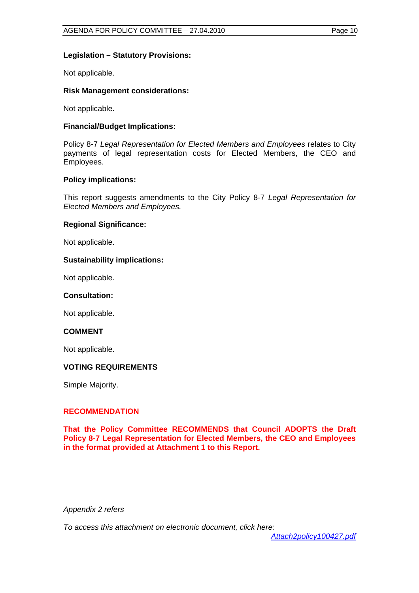## **Legislation – Statutory Provisions:**

Not applicable.

## **Risk Management considerations:**

Not applicable.

## **Financial/Budget Implications:**

Policy 8-7 *Legal Representation for Elected Members and Employees* relates to City payments of legal representation costs for Elected Members, the CEO and Employees.

## **Policy implications:**

This report suggests amendments to the City Policy 8-7 *Legal Representation for Elected Members and Employees.*

## **Regional Significance:**

Not applicable.

## **Sustainability implications:**

Not applicable.

#### **Consultation:**

Not applicable.

#### **COMMENT**

Not applicable.

## **VOTING REQUIREMENTS**

Simple Majority.

## **RECOMMENDATION**

**That the Policy Committee RECOMMENDS that Council ADOPTS the Draft Policy 8-7 Legal Representation for Elected Members, the CEO and Employees in the format provided at Attachment 1 to this Report.** 

*Appendix 2 refers* 

*To access this attachment on electronic document, click here:*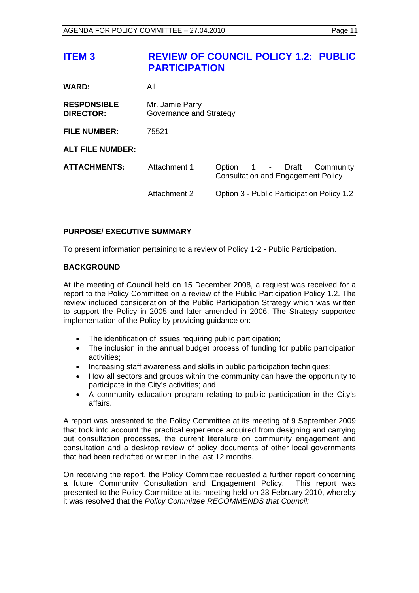<span id="page-10-0"></span>

| <b>ITEM3</b>                           | <b>PARTICIPATION</b>                       | <b>REVIEW OF COUNCIL POLICY 1.2: PUBLIC</b>                                   |
|----------------------------------------|--------------------------------------------|-------------------------------------------------------------------------------|
| <b>WARD:</b>                           | All                                        |                                                                               |
| <b>RESPONSIBLE</b><br><b>DIRECTOR:</b> | Mr. Jamie Parry<br>Governance and Strategy |                                                                               |
| <b>FILE NUMBER:</b>                    | 75521                                      |                                                                               |
| <b>ALT FILE NUMBER:</b>                |                                            |                                                                               |
| <b>ATTACHMENTS:</b>                    | Attachment 1                               | 1 - Draft<br>Option<br>Community<br><b>Consultation and Engagement Policy</b> |
|                                        | Attachment 2                               | Option 3 - Public Participation Policy 1.2                                    |

## **PURPOSE/ EXECUTIVE SUMMARY**

To present information pertaining to a review of Policy 1-2 - Public Participation.

## **BACKGROUND**

At the meeting of Council held on 15 December 2008, a request was received for a report to the Policy Committee on a review of the Public Participation Policy 1.2. The review included consideration of the Public Participation Strategy which was written to support the Policy in 2005 and later amended in 2006. The Strategy supported implementation of the Policy by providing guidance on:

- The identification of issues requiring public participation;
- The inclusion in the annual budget process of funding for public participation activities;
- Increasing staff awareness and skills in public participation techniques:
- How all sectors and groups within the community can have the opportunity to participate in the City's activities; and
- A community education program relating to public participation in the City's affairs.

A report was presented to the Policy Committee at its meeting of 9 September 2009 that took into account the practical experience acquired from designing and carrying out consultation processes, the current literature on community engagement and consultation and a desktop review of policy documents of other local governments that had been redrafted or written in the last 12 months.

On receiving the report, the Policy Committee requested a further report concerning a future Community Consultation and Engagement Policy. This report was presented to the Policy Committee at its meeting held on 23 February 2010, whereby it was resolved that the *Policy Committee RECOMMENDS that Council:*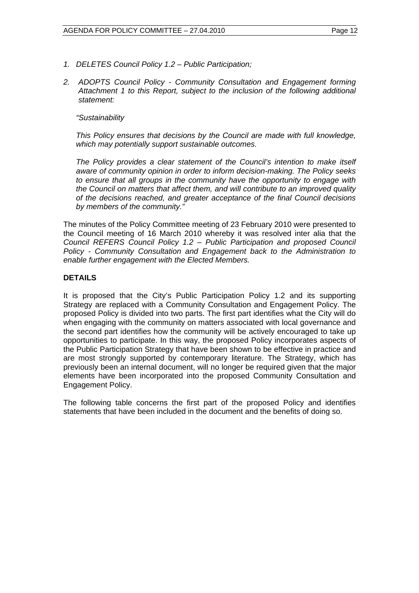- *1. DELETES Council Policy 1.2 Public Participation;*
- *2. ADOPTS Council Policy Community Consultation and Engagement forming Attachment 1 to this Report, subject to the inclusion of the following additional statement:*

## *"Sustainability*

*This Policy ensures that decisions by the Council are made with full knowledge, which may potentially support sustainable outcomes.* 

*The Policy provides a clear statement of the Council's intention to make itself aware of community opinion in order to inform decision-making. The Policy seeks to ensure that all groups in the community have the opportunity to engage with the Council on matters that affect them, and will contribute to an improved quality of the decisions reached, and greater acceptance of the final Council decisions by members of the community."* 

The minutes of the Policy Committee meeting of 23 February 2010 were presented to the Council meeting of 16 March 2010 whereby it was resolved inter alia that the *Council REFERS Council Policy 1.2 – Public Participation and proposed Council Policy - Community Consultation and Engagement back to the Administration to enable further engagement with the Elected Members.*

## **DETAILS**

It is proposed that the City's Public Participation Policy 1.2 and its supporting Strategy are replaced with a Community Consultation and Engagement Policy. The proposed Policy is divided into two parts. The first part identifies what the City will do when engaging with the community on matters associated with local governance and the second part identifies how the community will be actively encouraged to take up opportunities to participate. In this way, the proposed Policy incorporates aspects of the Public Participation Strategy that have been shown to be effective in practice and are most strongly supported by contemporary literature. The Strategy, which has previously been an internal document, will no longer be required given that the major elements have been incorporated into the proposed Community Consultation and Engagement Policy.

The following table concerns the first part of the proposed Policy and identifies statements that have been included in the document and the benefits of doing so.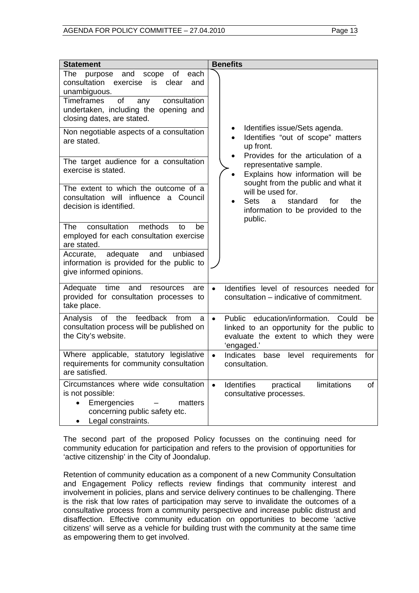| <b>Statement</b>                                                                                                                                                                                                                     | <b>Benefits</b>                                                                                                                                                    |
|--------------------------------------------------------------------------------------------------------------------------------------------------------------------------------------------------------------------------------------|--------------------------------------------------------------------------------------------------------------------------------------------------------------------|
| each<br>The purpose<br>and<br>scope<br>of<br>consultation<br>clear<br>exercise<br>is<br>and<br>unambiguous.<br><b>Timeframes</b><br>of<br>any<br>consultation<br>undertaken, including the opening and<br>closing dates, are stated. |                                                                                                                                                                    |
| Non negotiable aspects of a consultation<br>are stated.                                                                                                                                                                              | Identifies issue/Sets agenda.<br>$\bullet$<br>Identifies "out of scope" matters<br>$\bullet$<br>up front.                                                          |
| The target audience for a consultation<br>exercise is stated.                                                                                                                                                                        | Provides for the articulation of a<br>representative sample.<br>Explains how information will be<br>$\bullet$<br>sought from the public and what it                |
| The extent to which the outcome of a<br>consultation will influence a Council<br>decision is identified.                                                                                                                             | will be used for.<br>Sets<br>standard<br>for<br>the<br><sub>a</sub><br>information to be provided to the<br>public.                                                |
| methods<br>consultation<br>The<br>be<br>to<br>employed for each consultation exercise<br>are stated.                                                                                                                                 |                                                                                                                                                                    |
| adequate<br>and<br>unbiased<br>Accurate,<br>information is provided for the public to<br>give informed opinions.                                                                                                                     |                                                                                                                                                                    |
| Adequate time<br>and<br>resources<br>are<br>provided for consultation processes to<br>take place.                                                                                                                                    | Identifies level of resources needed for<br>$\bullet$<br>consultation – indicative of commitment.                                                                  |
| of the feedback<br>Analysis<br>from<br>a<br>consultation process will be published on<br>the City's website.                                                                                                                         | education/information.<br>Public<br>Could<br>$\bullet$<br>be<br>linked to an opportunity for the public to<br>evaluate the extent to which they were<br>'engaged.' |
| Where applicable, statutory legislative<br>requirements for community consultation<br>are satisfied.                                                                                                                                 | $\bullet$<br>Indicates<br>base<br>level<br>requirements<br>for<br>consultation.                                                                                    |
| Circumstances where wide consultation<br>is not possible:<br>Emergencies<br>matters<br>$\bullet$<br>concerning public safety etc.<br>Legal constraints.                                                                              | <b>Identifies</b><br>limitations<br>practical<br>οf<br>$\bullet$<br>consultative processes.                                                                        |

The second part of the proposed Policy focusses on the continuing need for community education for participation and refers to the provision of opportunities for 'active citizenship' in the City of Joondalup.

Retention of community education as a component of a new Community Consultation and Engagement Policy reflects review findings that community interest and involvement in policies, plans and service delivery continues to be challenging. There is the risk that low rates of participation may serve to invalidate the outcomes of a consultative process from a community perspective and increase public distrust and disaffection. Effective community education on opportunities to become 'active citizens' will serve as a vehicle for building trust with the community at the same time as empowering them to get involved.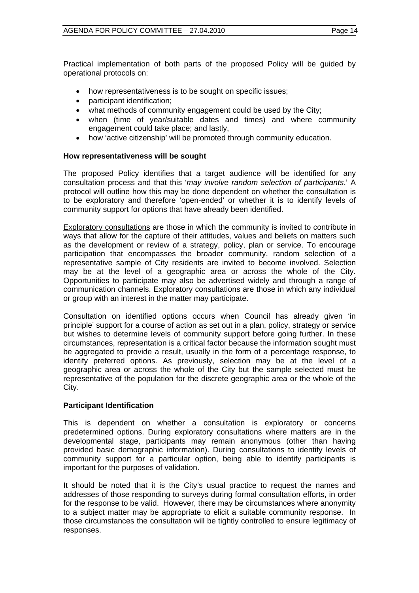Practical implementation of both parts of the proposed Policy will be guided by operational protocols on:

- how representativeness is to be sought on specific issues;
- participant identification;
- what methods of community engagement could be used by the City;
- when (time of year/suitable dates and times) and where community engagement could take place; and lastly,
- how 'active citizenship' will be promoted through community education.

## **How representativeness will be sought**

The proposed Policy identifies that a target audience will be identified for any consultation process and that this '*may involve random selection of participants*.' A protocol will outline how this may be done dependent on whether the consultation is to be exploratory and therefore 'open-ended' or whether it is to identify levels of community support for options that have already been identified.

Exploratory consultations are those in which the community is invited to contribute in ways that allow for the capture of their attitudes, values and beliefs on matters such as the development or review of a strategy, policy, plan or service. To encourage participation that encompasses the broader community, random selection of a representative sample of City residents are invited to become involved. Selection may be at the level of a geographic area or across the whole of the City. Opportunities to participate may also be advertised widely and through a range of communication channels. Exploratory consultations are those in which any individual or group with an interest in the matter may participate.

Consultation on identified options occurs when Council has already given 'in principle' support for a course of action as set out in a plan, policy, strategy or service but wishes to determine levels of community support before going further. In these circumstances, representation is a critical factor because the information sought must be aggregated to provide a result, usually in the form of a percentage response, to identify preferred options. As previously, selection may be at the level of a geographic area or across the whole of the City but the sample selected must be representative of the population for the discrete geographic area or the whole of the City.

## **Participant Identification**

This is dependent on whether a consultation is exploratory or concerns predetermined options. During exploratory consultations where matters are in the developmental stage, participants may remain anonymous (other than having provided basic demographic information). During consultations to identify levels of community support for a particular option, being able to identify participants is important for the purposes of validation.

It should be noted that it is the City's usual practice to request the names and addresses of those responding to surveys during formal consultation efforts, in order for the response to be valid. However, there may be circumstances where anonymity to a subject matter may be appropriate to elicit a suitable community response. In those circumstances the consultation will be tightly controlled to ensure legitimacy of responses.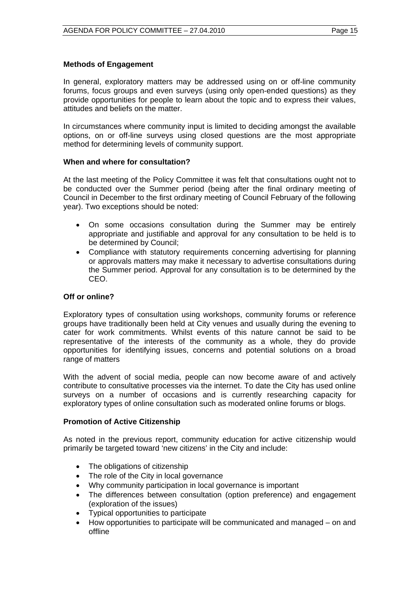## **Methods of Engagement**

In general, exploratory matters may be addressed using on or off-line community forums, focus groups and even surveys (using only open-ended questions) as they provide opportunities for people to learn about the topic and to express their values, attitudes and beliefs on the matter.

In circumstances where community input is limited to deciding amongst the available options, on or off-line surveys using closed questions are the most appropriate method for determining levels of community support.

## **When and where for consultation?**

At the last meeting of the Policy Committee it was felt that consultations ought not to be conducted over the Summer period (being after the final ordinary meeting of Council in December to the first ordinary meeting of Council February of the following year). Two exceptions should be noted:

- On some occasions consultation during the Summer may be entirely appropriate and justifiable and approval for any consultation to be held is to be determined by Council;
- Compliance with statutory requirements concerning advertising for planning or approvals matters may make it necessary to advertise consultations during the Summer period. Approval for any consultation is to be determined by the CEO.

## **Off or online?**

Exploratory types of consultation using workshops, community forums or reference groups have traditionally been held at City venues and usually during the evening to cater for work commitments. Whilst events of this nature cannot be said to be representative of the interests of the community as a whole, they do provide opportunities for identifying issues, concerns and potential solutions on a broad range of matters

With the advent of social media, people can now become aware of and actively contribute to consultative processes via the internet. To date the City has used online surveys on a number of occasions and is currently researching capacity for exploratory types of online consultation such as moderated online forums or blogs.

#### **Promotion of Active Citizenship**

As noted in the previous report, community education for active citizenship would primarily be targeted toward 'new citizens' in the City and include:

- The obligations of citizenship
- The role of the City in local governance
- Why community participation in local governance is important
- The differences between consultation (option preference) and engagement (exploration of the issues)
- Typical opportunities to participate
- How opportunities to participate will be communicated and managed on and offline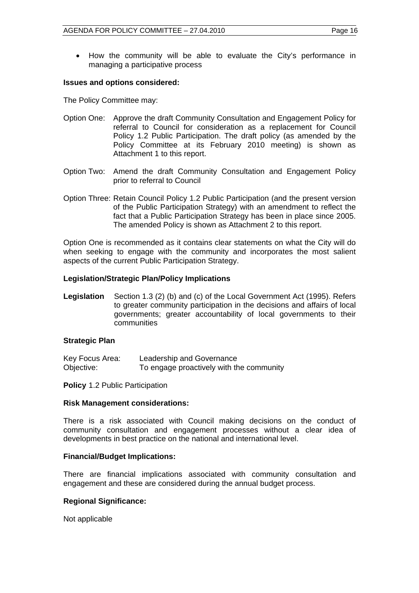How the community will be able to evaluate the City's performance in managing a participative process

#### **Issues and options considered:**

The Policy Committee may:

- Option One: Approve the draft Community Consultation and Engagement Policy for referral to Council for consideration as a replacement for Council Policy 1.2 Public Participation. The draft policy (as amended by the Policy Committee at its February 2010 meeting) is shown as Attachment 1 to this report.
- Option Two: Amend the draft Community Consultation and Engagement Policy prior to referral to Council
- Option Three: Retain Council Policy 1.2 Public Participation (and the present version of the Public Participation Strategy) with an amendment to reflect the fact that a Public Participation Strategy has been in place since 2005. The amended Policy is shown as Attachment 2 to this report.

Option One is recommended as it contains clear statements on what the City will do when seeking to engage with the community and incorporates the most salient aspects of the current Public Participation Strategy.

## **Legislation/Strategic Plan/Policy Implications**

**Legislation** Section 1.3 (2) (b) and (c) of the Local Government Act (1995). Refers to greater community participation in the decisions and affairs of local governments; greater accountability of local governments to their communities

#### **Strategic Plan**

| Key Focus Area: | Leadership and Governance                |
|-----------------|------------------------------------------|
| Objective:      | To engage proactively with the community |

**Policy** 1.2 Public Participation

#### **Risk Management considerations:**

There is a risk associated with Council making decisions on the conduct of community consultation and engagement processes without a clear idea of developments in best practice on the national and international level.

#### **Financial/Budget Implications:**

There are financial implications associated with community consultation and engagement and these are considered during the annual budget process.

#### **Regional Significance:**

Not applicable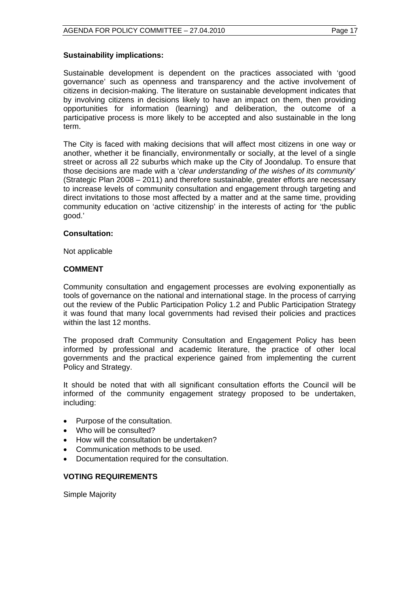## **Sustainability implications:**

Sustainable development is dependent on the practices associated with 'good governance' such as openness and transparency and the active involvement of citizens in decision-making. The literature on sustainable development indicates that by involving citizens in decisions likely to have an impact on them, then providing opportunities for information (learning) and deliberation, the outcome of a participative process is more likely to be accepted and also sustainable in the long term.

The City is faced with making decisions that will affect most citizens in one way or another, whether it be financially, environmentally or socially, at the level of a single street or across all 22 suburbs which make up the City of Joondalup. To ensure that those decisions are made with a '*clear understanding of the wishes of its community*' (Strategic Plan 2008 – 2011) and therefore sustainable, greater efforts are necessary to increase levels of community consultation and engagement through targeting and direct invitations to those most affected by a matter and at the same time, providing community education on 'active citizenship' in the interests of acting for 'the public good.'

## **Consultation:**

Not applicable

## **COMMENT**

Community consultation and engagement processes are evolving exponentially as tools of governance on the national and international stage. In the process of carrying out the review of the Public Participation Policy 1.2 and Public Participation Strategy it was found that many local governments had revised their policies and practices within the last 12 months.

The proposed draft Community Consultation and Engagement Policy has been informed by professional and academic literature, the practice of other local governments and the practical experience gained from implementing the current Policy and Strategy.

It should be noted that with all significant consultation efforts the Council will be informed of the community engagement strategy proposed to be undertaken, including:

- Purpose of the consultation.
- Who will be consulted?
- How will the consultation be undertaken?
- Communication methods to be used.
- Documentation required for the consultation.

## **VOTING REQUIREMENTS**

Simple Majority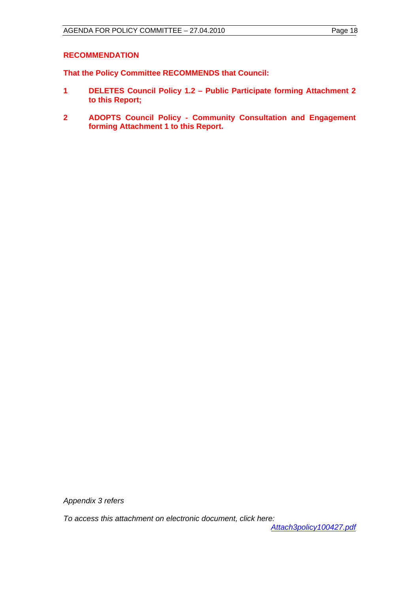## **RECOMMENDATION**

**That the Policy Committee RECOMMENDS that Council:** 

- **1 DELETES Council Policy 1.2 Public Participate forming Attachment 2 to this Report;**
- **2 ADOPTS Council Policy Community Consultation and Engagement forming Attachment 1 to this Report.**

*Appendix 3 refers* 

*To access this attachment on electronic document, click here:* 

*<Attach3policy100427.pdf>*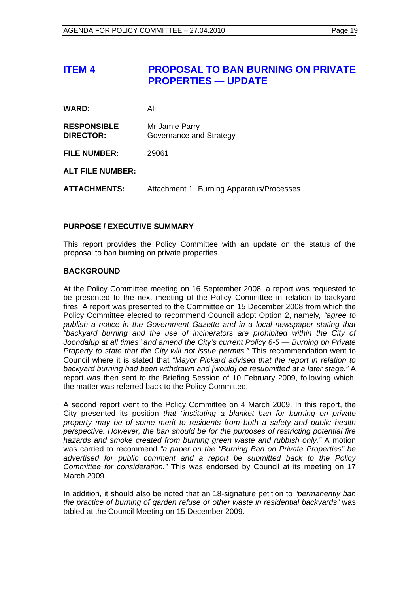## <span id="page-18-0"></span>**ITEM 4 PROPOSAL TO BAN BURNING ON PRIVATE PROPERTIES — UPDATE**

| <b>WARD:</b>                           | All                                       |
|----------------------------------------|-------------------------------------------|
| <b>RESPONSIBLE</b><br><b>DIRECTOR:</b> | Mr Jamie Parry<br>Governance and Strategy |
| <b>FILE NUMBER:</b>                    | 29061                                     |
| <b>ALT FILE NUMBER:</b>                |                                           |
| <b>ATTACHMENTS:</b>                    | Attachment 1 Burning Apparatus/Processes  |

## **PURPOSE / EXECUTIVE SUMMARY**

This report provides the Policy Committee with an update on the status of the proposal to ban burning on private properties.

## **BACKGROUND**

At the Policy Committee meeting on 16 September 2008, a report was requested to be presented to the next meeting of the Policy Committee in relation to backyard fires. A report was presented to the Committee on 15 December 2008 from which the Policy Committee elected to recommend Council adopt Option 2, namely*, "agree to publish a notice in the Government Gazette and in a local newspaper stating that "backyard burning and the use of incinerators are prohibited within the City of Joondalup at all times" and amend the City's current Policy 6-5 — Burning on Private Property to state that the City will not issue permits."* This recommendation went to Council where it is stated that *"Mayor Pickard advised that the report in relation to backyard burning had been withdrawn and [would] be resubmitted at a later stage."* A report was then sent to the Briefing Session of 10 February 2009, following which, the matter was referred back to the Policy Committee.

A second report went to the Policy Committee on 4 March 2009. In this report, the City presented its position *that "instituting a blanket ban for burning on private property may be of some merit to residents from both a safety and public health perspective. However, the ban should be for the purposes of restricting potential fire hazards and smoke created from burning green waste and rubbish only."* A motion was carried to recommend *"a paper on the "Burning Ban on Private Properties" be advertised for public comment and a report be submitted back to the Policy Committee for consideration."* This was endorsed by Council at its meeting on 17 March 2009.

In addition, it should also be noted that an 18-signature petition to *"permanently ban the practice of burning of garden refuse or other waste in residential backyards"* was tabled at the Council Meeting on 15 December 2009.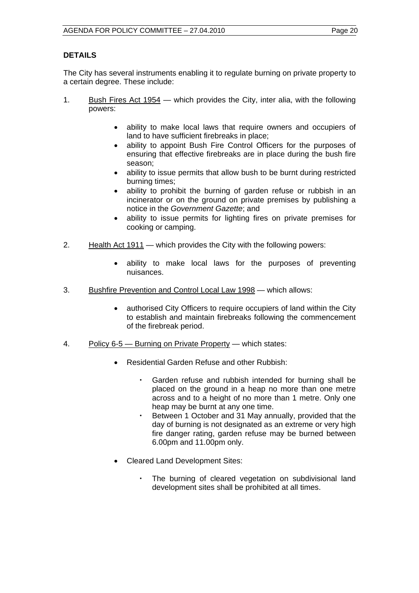## **DETAILS**

The City has several instruments enabling it to regulate burning on private property to a certain degree. These include:

- 1. Bush Fires Act 1954 which provides the City, inter alia, with the following powers:
	- ability to make local laws that require owners and occupiers of land to have sufficient firebreaks in place;
	- ability to appoint Bush Fire Control Officers for the purposes of ensuring that effective firebreaks are in place during the bush fire season;
	- ability to issue permits that allow bush to be burnt during restricted burning times;
	- ability to prohibit the burning of garden refuse or rubbish in an incinerator or on the ground on private premises by publishing a notice in the *Government Gazette*; and
	- ability to issue permits for lighting fires on private premises for cooking or camping.
- 2. Health Act 1911 which provides the City with the following powers:
	- ability to make local laws for the purposes of preventing nuisances.
- 3. Bushfire Prevention and Control Local Law 1998 which allows:
	- authorised City Officers to require occupiers of land within the City to establish and maintain firebreaks following the commencement of the firebreak period.
- 4. Policy 6-5 Burning on Private Property which states:
	- Residential Garden Refuse and other Rubbish:
		- Garden refuse and rubbish intended for burning shall be placed on the ground in a heap no more than one metre across and to a height of no more than 1 metre. Only one heap may be burnt at any one time.
		- Between 1 October and 31 May annually, provided that the day of burning is not designated as an extreme or very high fire danger rating, garden refuse may be burned between 6.00pm and 11.00pm only.
	- Cleared Land Development Sites:
		- The burning of cleared vegetation on subdivisional land development sites shall be prohibited at all times.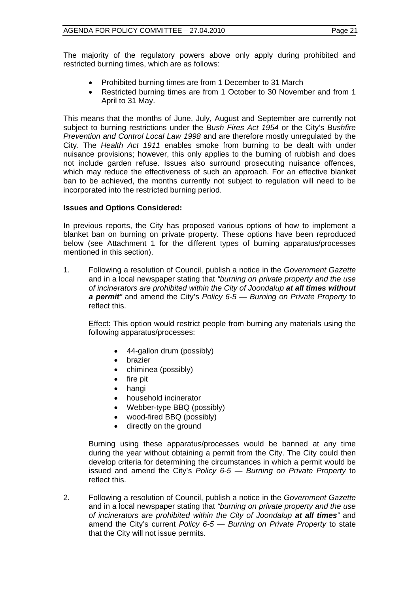The majority of the regulatory powers above only apply during prohibited and restricted burning times, which are as follows:

- Prohibited burning times are from 1 December to 31 March
- Restricted burning times are from 1 October to 30 November and from 1 April to 31 May.

This means that the months of June, July, August and September are currently not subject to burning restrictions under the *Bush Fires Act 1954* or the City's *Bushfire Prevention and Control Local Law 1998* and are therefore mostly unregulated by the City. The *Health Act 1911* enables smoke from burning to be dealt with under nuisance provisions; however, this only applies to the burning of rubbish and does not include garden refuse. Issues also surround prosecuting nuisance offences, which may reduce the effectiveness of such an approach. For an effective blanket ban to be achieved, the months currently not subject to regulation will need to be incorporated into the restricted burning period.

## **Issues and Options Considered:**

In previous reports, the City has proposed various options of how to implement a blanket ban on burning on private property. These options have been reproduced below (see Attachment 1 for the different types of burning apparatus/processes mentioned in this section).

1. Following a resolution of Council, publish a notice in the *Government Gazette*  and in a local newspaper stating that *"burning on private property and the use of incinerators are prohibited within the City of Joondalup at all times without a permit"* and amend the City's *Policy 6-5* — *Burning on Private Property* to reflect this.

Effect: This option would restrict people from burning any materials using the following apparatus/processes:

- 44-gallon drum (possibly)
- brazier
- chiminea (possibly)
- $\bullet$  fire pit
- hangi
- household incinerator
- Webber-type BBQ (possibly)
- wood-fired BBQ (possibly)
- directly on the ground

Burning using these apparatus/processes would be banned at any time during the year without obtaining a permit from the City. The City could then develop criteria for determining the circumstances in which a permit would be issued and amend the City's *Policy 6-5* — *Burning on Private Property* to reflect this.

2. Following a resolution of Council, publish a notice in the *Government Gazette*  and in a local newspaper stating that *"burning on private property and the use of incinerators are prohibited within the City of Joondalup at all times"* and amend the City's current *Policy 6-5* — *Burning on Private Property* to state that the City will not issue permits.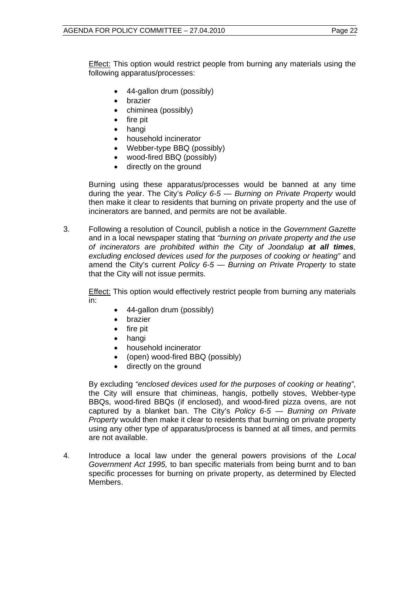**Effect:** This option would restrict people from burning any materials using the following apparatus/processes:

- 44-gallon drum (possibly)
- brazier
- chiminea (possibly)
- fire pit
- hangi
- household incinerator
- Webber-type BBQ (possibly)
- wood-fired BBQ (possibly)
- directly on the ground

Burning using these apparatus/processes would be banned at any time during the year. The City's *Policy 6-5* — *Burning on Private Property* would then make it clear to residents that burning on private property and the use of incinerators are banned, and permits are not be available.

3. Following a resolution of Council, publish a notice in the *Government Gazette*  and in a local newspaper stating that *"burning on private property and the use of incinerators are prohibited within the City of Joondalup at all times, excluding enclosed devices used for the purposes of cooking or heating"* and amend the City's current *Policy 6-5* — *Burning on Private Property* to state that the City will not issue permits.

Effect: This option would effectively restrict people from burning any materials in:

- 44-gallon drum (possibly)
- **•** brazier
- $\bullet$  fire pit
- hangi
- household incinerator
- (open) wood-fired BBQ (possibly)
- directly on the ground

By excluding *"enclosed devices used for the purposes of cooking or heating"*, the City will ensure that chimineas, hangis, potbelly stoves, Webber-type BBQs, wood-fired BBQs (if enclosed), and wood-fired pizza ovens, are not captured by a blanket ban. The City's *Policy 6-5* — *Burning on Private Property* would then make it clear to residents that burning on private property using any other type of apparatus/process is banned at all times, and permits are not available.

4. Introduce a local law under the general powers provisions of the *Local Government Act 1995,* to ban specific materials from being burnt and to ban specific processes for burning on private property, as determined by Elected Members.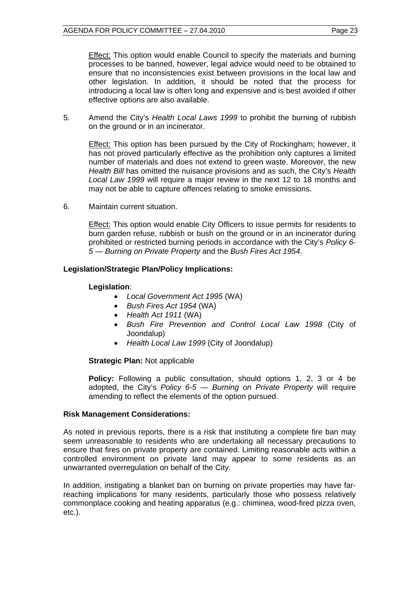Effect: This option would enable Council to specify the materials and burning processes to be banned, however, legal advice would need to be obtained to ensure that no inconsistencies exist between provisions in the local law and other legislation. In addition, it should be noted that the process for introducing a local law is often long and expensive and is best avoided if other effective options are also available.

5. Amend the City's *Health Local Laws 1999* to prohibit the burning of rubbish on the ground or in an incinerator.

Effect: This option has been pursued by the City of Rockingham; however, it has not proved particularly effective as the prohibition only captures a limited number of materials and does not extend to green waste. Moreover, the new *Health Bill* has omitted the nuisance provisions and as such, the City's *Health Local Law 1999* will require a major review in the next 12 to 18 months and may not be able to capture offences relating to smoke emissions.

6. Maintain current situation.

Effect: This option would enable City Officers to issue permits for residents to burn garden refuse, rubbish or bush on the ground or in an incinerator during prohibited or restricted burning periods in accordance with the City's *Policy 6- 5* — *Burning on Private Property* and the *Bush Fires Act 1954*.

## **Legislation/Strategic Plan/Policy Implications:**

## **Legislation**:

- *Local Government Act 1995* (WA)
- *Bush Fires Act 1954* (WA)
- *Health Act 1911* (WA)
- *Bush Fire Prevention and Control Local Law 1998* (City of Joondalup)
- *Health Local Law 1999* (City of Joondalup)

## **Strategic Plan:** Not applicable

**Policy:** Following a public consultation, should options 1, 2, 3 or 4 be adopted, the City's *Policy 6-5 — Burning on Private Property* will require amending to reflect the elements of the option pursued.

#### **Risk Management Considerations:**

As noted in previous reports, there is a risk that instituting a complete fire ban may seem unreasonable to residents who are undertaking all necessary precautions to ensure that fires on private property are contained. Limiting reasonable acts within a controlled environment on private land may appear to some residents as an unwarranted overregulation on behalf of the City.

In addition, instigating a blanket ban on burning on private properties may have farreaching implications for many residents, particularly those who possess relatively commonplace cooking and heating apparatus (e.g.: chiminea, wood-fired pizza oven, etc.).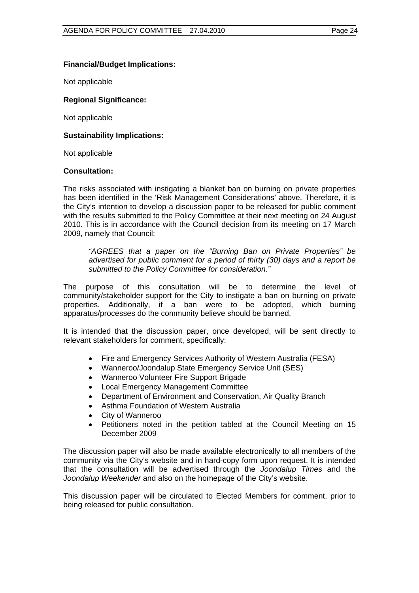## **Financial/Budget Implications:**

Not applicable

#### **Regional Significance:**

Not applicable

#### **Sustainability Implications:**

Not applicable

#### **Consultation:**

The risks associated with instigating a blanket ban on burning on private properties has been identified in the 'Risk Management Considerations' above. Therefore, it is the City's intention to develop a discussion paper to be released for public comment with the results submitted to the Policy Committee at their next meeting on 24 August 2010. This is in accordance with the Council decision from its meeting on 17 March 2009, namely that Council:

*"AGREES that a paper on the "Burning Ban on Private Properties" be advertised for public comment for a period of thirty (30) days and a report be submitted to the Policy Committee for consideration."*

The purpose of this consultation will be to determine the level of community/stakeholder support for the City to instigate a ban on burning on private properties. Additionally, if a ban were to be adopted, which burning apparatus/processes do the community believe should be banned.

It is intended that the discussion paper, once developed, will be sent directly to relevant stakeholders for comment, specifically:

- Fire and Emergency Services Authority of Western Australia (FESA)
- Wanneroo/Joondalup State Emergency Service Unit (SES)
- Wanneroo Volunteer Fire Support Brigade
- Local Emergency Management Committee
- Department of Environment and Conservation, Air Quality Branch
- Asthma Foundation of Western Australia
- City of Wanneroo
- Petitioners noted in the petition tabled at the Council Meeting on 15 December 2009

The discussion paper will also be made available electronically to all members of the community via the City's website and in hard-copy form upon request. It is intended that the consultation will be advertised through the *Joondalup Times* and the *Joondalup Weekender* and also on the homepage of the City's website.

This discussion paper will be circulated to Elected Members for comment, prior to being released for public consultation.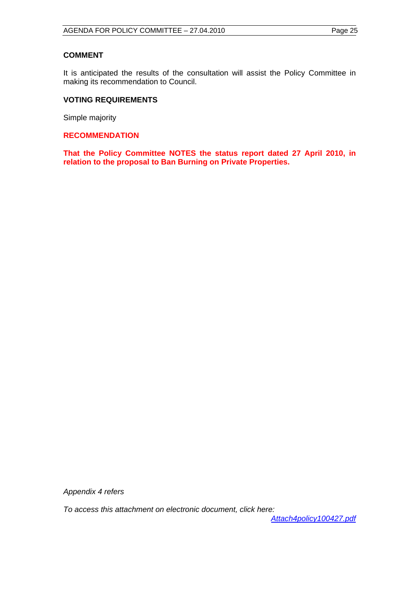## **COMMENT**

It is anticipated the results of the consultation will assist the Policy Committee in making its recommendation to Council.

## **VOTING REQUIREMENTS**

Simple majority

**RECOMMENDATION** 

**That the Policy Committee NOTES the status report dated 27 April 2010, in relation to the proposal to Ban Burning on Private Properties.** 

*Appendix 4 refers* 

*To access this attachment on electronic document, click here:* 

*<Attach4policy100427.pdf>*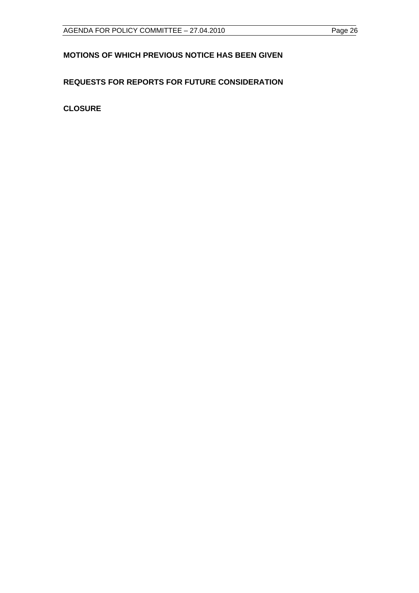## <span id="page-25-0"></span>**MOTIONS OF WHICH PREVIOUS NOTICE HAS BEEN GIVEN**

## **REQUESTS FOR REPORTS FOR FUTURE CONSIDERATION**

**CLOSURE**